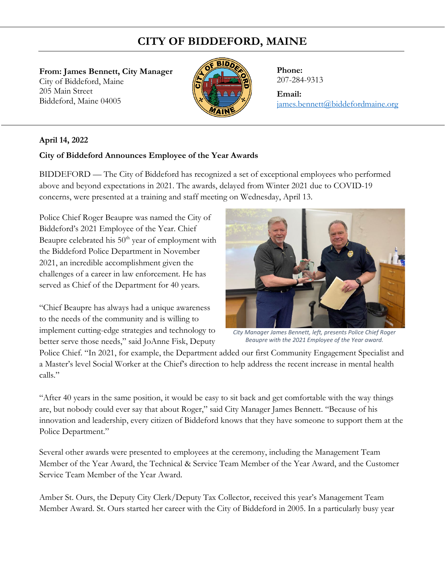## **CITY OF BIDDEFORD, MAINE**

**From: James Bennett, City Manager**  City of Biddeford, Maine 205 Main Street Biddeford, Maine 04005



**Phone:** 207-284-9313

## **Email:**

[james.bennett@biddefordmaine.org](mailto:james.bennett@biddefordmaine.org)

## **April 14, 2022**

## **City of Biddeford Announces Employee of the Year Awards**

BIDDEFORD — The City of Biddeford has recognized a set of exceptional employees who performed above and beyond expectations in 2021. The awards, delayed from Winter 2021 due to COVID-19 concerns, were presented at a training and staff meeting on Wednesday, April 13.

Police Chief Roger Beaupre was named the City of Biddeford's 2021 Employee of the Year. Chief Beaupre celebrated his  $50<sup>th</sup>$  year of employment with the Biddeford Police Department in November 2021, an incredible accomplishment given the challenges of a career in law enforcement. He has served as Chief of the Department for 40 years.

"Chief Beaupre has always had a unique awareness to the needs of the community and is willing to implement cutting-edge strategies and technology to better serve those needs," said JoAnne Fisk, Deputy



*City Manager James Bennett, left, presents Police Chief Roger Beaupre with the 2021 Employee of the Year award.*

Police Chief. "In 2021, for example, the Department added our first Community Engagement Specialist and a Master's level Social Worker at the Chief's direction to help address the recent increase in mental health calls."

"After 40 years in the same position, it would be easy to sit back and get comfortable with the way things are, but nobody could ever say that about Roger," said City Manager James Bennett. "Because of his innovation and leadership, every citizen of Biddeford knows that they have someone to support them at the Police Department."

Several other awards were presented to employees at the ceremony, including the Management Team Member of the Year Award, the Technical & Service Team Member of the Year Award, and the Customer Service Team Member of the Year Award.

Amber St. Ours, the Deputy City Clerk/Deputy Tax Collector, received this year's Management Team Member Award. St. Ours started her career with the City of Biddeford in 2005. In a particularly busy year